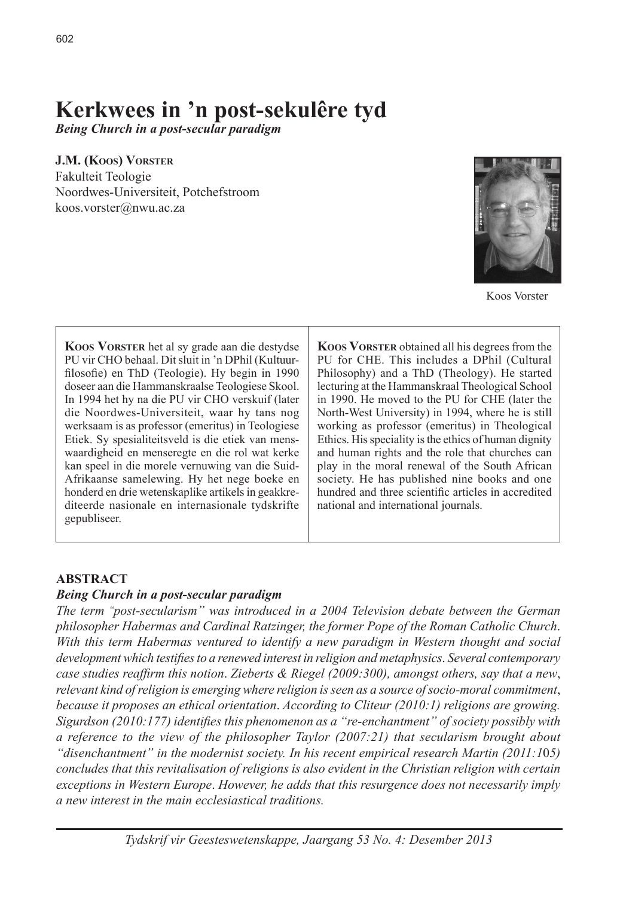# **Kerkwees in 'n post-sekulêre tyd**

*Being Church in a post***-***secular paradigm*

**J.M. (Koos) Vorster**

Fakulteit Teologie Noordwes-Universiteit, Potchefstroom koos.vorster@nwu.ac.za



Koos Vorster

**Koos Vorster** het al sy grade aan die destydse PU vir CHO behaal. Dit sluit in 'n DPhil (Kultuurfilosofie) en ThD (Teologie). Hy begin in 1990 doseer aan die Hammanskraalse Teologiese Skool. In 1994 het hy na die PU vir CHO verskuif (later die Noordwes-Universiteit, waar hy tans nog werksaam is as professor (emeritus) in Teologiese Etiek. Sy spesialiteitsveld is die etiek van menswaardigheid en menseregte en die rol wat kerke kan speel in die morele vernuwing van die Suid-Afrikaanse samelewing. Hy het nege boeke en honderd en drie wetenskaplike artikels in geakkrediteerde nasionale en internasionale tydskrifte gepubliseer.

**Koos Vorster** obtained all his degrees from the PU for CHE. This includes a DPhil (Cultural Philosophy) and a ThD (Theology). He started lecturing at the Hammanskraal Theological School in 1990. He moved to the PU for CHE (later the North-West University) in 1994, where he is still working as professor (emeritus) in Theological Ethics. His speciality is the ethics of human dignity and human rights and the role that churches can play in the moral renewal of the South African society. He has published nine books and one hundred and three scientific articles in accredited national and international journals.

## **ABSTRACT**

## *Being Church in a post***-***secular paradigm*

*The term "post*-*secularism" was introduced in a 2004 Television debate between the German philosopher Habermas and Cardinal Ratzinger, the former Pope of the Roman Catholic Church*. *With this term Habermas ventured to identify a new paradigm in Western thought and social development which testifies to a renewed interest in religion and metaphysics*. *Several contemporary case studies reaffirm this notion*. *Zieberts & Riegel (2009:300), amongst others, say that a new*, *relevant kind of religion is emerging where religion is seen as a source of socio-moral commitment*, *because it proposes an ethical orientation*. *According to Cliteur (2010:1) religions are growing. Sigurdson (2010:177) identifies this phenomenon as a "re*-*enchantment" of society possibly with a reference to the view of the philosopher Taylor (2007:21) that secularism brought about "disenchantment" in the modernist society. In his recent empirical research Martin (2011:1*0*5) concludes that this revitalisation of religions is also evident in the Christian religion with certain exceptions in Western Europe*. *However, he adds that this resurgence does not necessarily imply a new interest in the main ecclesiastical traditions.*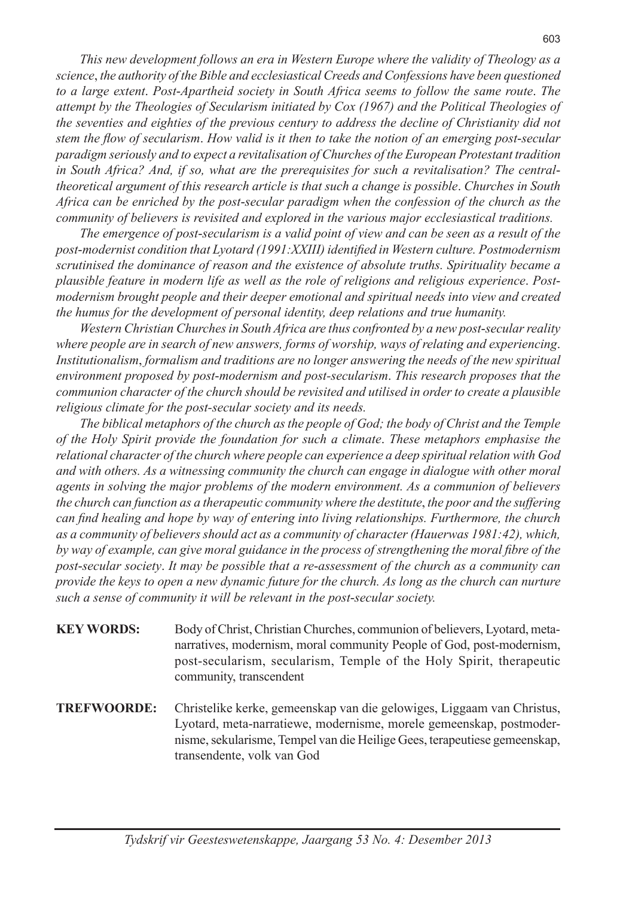*This new development follows an era in Western Europe where the validity of Theology as a science*, *the authority of the Bible and ecclesiastical Creeds and Confessions have been questioned to a large extent*. *Post*-*Apartheid society in South Africa seems to follow the same route*. *The attempt by the Theologies of Secularism initiated by Cox (1967) and the Political Theologies of the seventies and eighties of the previous century to address the decline of Christianity did not stem the flow of secularism*. *How valid is it then to take the notion of an emerging post*-*secular paradigm seriously and to expect a revitalisation of Churches of the European Protestant tradition in South Africa? And, if so, what are the prerequisites for such a revitalisation? The centraltheoretical argument of this research article is that such a change is possible*. *Churches in South Africa can be enriched by the post*-*secular paradigm when the confession of the church as the community of believers is revisited and explored in the various major ecclesiastical traditions.*

*The emergence of post*-*secularism is a valid point of view and can be seen as a result of the post*-*modernist condition that Lyotard (1991:XXIII) identified in Western culture. Postmodernism scrutinised the dominance of reason and the existence of absolute truths. Spirituality became a plausible feature in modern life as well as the role of religions and religious experience*. *Postmodernism brought people and their deeper emotional and spiritual needs into view and created the humus for the development of personal identity, deep relations and true humanity.*

*Western Christian Churches in South Africa are thus confronted by a new post*-*secular reality where people are in search of new answers, forms of worship, ways of relating and experiencing*. *Institutionalism*, *formalism and traditions are no longer answering the needs of the new spiritual environment proposed by post*-*modernism and post-secularism*. *This research proposes that the communion character of the church should be revisited and utilised in order to create a plausible religious climate for the post-secular society and its needs.*

*The biblical metaphors of the church as the people of God; the body of Christ and the Temple of the Holy Spirit provide the foundation for such a climate*. *These metaphors emphasise the relational character of the church where people can experience a deep spiritual relation with God and with others. As a witnessing community the church can engage in dialogue with other moral agents in solving the major problems of the modern environment. As a communion of believers the church can function as a therapeutic community where the destitute*, *the poor and the suffering can find healing and hope by way of entering into living relationships. Furthermore, the church as a community of believers should act as a community of character (Hauerwas 1981:42), which, by way of example, can give moral guidance in the process of strengthening the moral fibre of the post*-*secular society*. *It may be possible that a re*-*assessment of the church as a community can provide the keys to open a new dynamic future for the church. As long as the church can nurture such a sense of community it will be relevant in the post*-*secular society.*

- **KEY WORDS:** Body of Christ, Christian Churches, communion of believers, Lyotard, metanarratives, modernism, moral community People of God, post-modernism, post-secularism, secularism, Temple of the Holy Spirit, therapeutic community, transcendent
- **TREFWOORDE:** Christelike kerke, gemeenskap van die gelowiges, Liggaam van Christus, Lyotard, meta-narratiewe, modernisme, morele gemeenskap, postmodernisme, sekularisme, Tempel van die Heilige Gees, terapeutiese gemeenskap, transendente, volk van God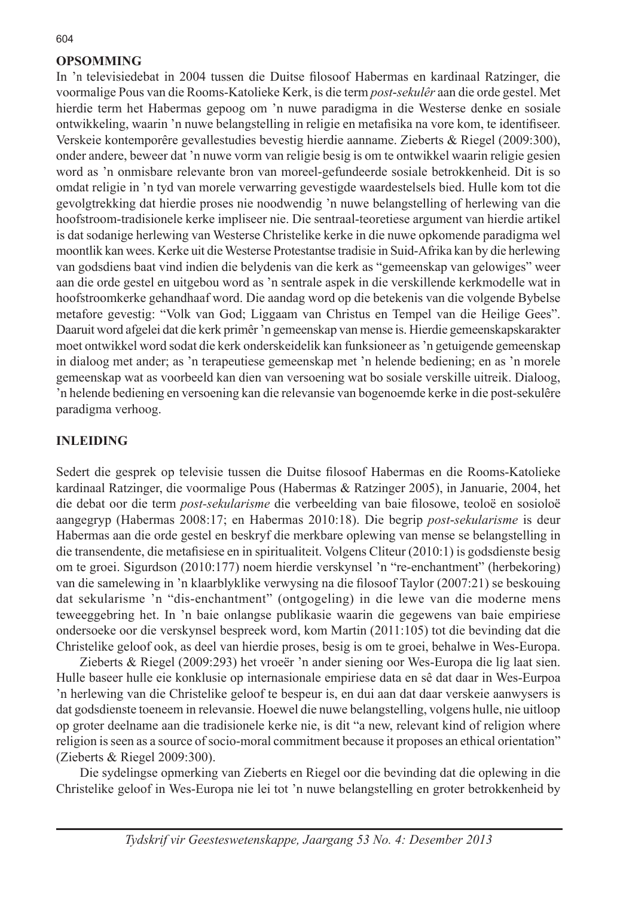# **OPSOMMING**

In 'n televisiedebat in 2004 tussen die Duitse filosoof Habermas en kardinaal Ratzinger, die voormalige Pous van die Rooms-Katolieke Kerk, is die term *post*-*sekulêr* aan die orde gestel. Met hierdie term het Habermas gepoog om 'n nuwe paradigma in die Westerse denke en sosiale ontwikkeling, waarin 'n nuwe belangstelling in religie en metafisika na vore kom, te identifiseer. Verskeie kontemporêre gevallestudies bevestig hierdie aanname. Zieberts & Riegel (2009:300), onder andere, beweer dat 'n nuwe vorm van religie besig is om te ontwikkel waarin religie gesien word as 'n onmisbare relevante bron van moreel-gefundeerde sosiale betrokkenheid. Dit is so omdat religie in 'n tyd van morele verwarring gevestigde waardestelsels bied. Hulle kom tot die gevolgtrekking dat hierdie proses nie noodwendig 'n nuwe belangstelling of herlewing van die hoofstroom-tradisionele kerke impliseer nie. Die sentraal-teoretiese argument van hierdie artikel is dat sodanige herlewing van Westerse Christelike kerke in die nuwe opkomende paradigma wel moontlik kan wees. Kerke uit die Westerse Protestantse tradisie in Suid-Afrika kan by die herlewing van godsdiens baat vind indien die belydenis van die kerk as "gemeenskap van gelowiges" weer aan die orde gestel en uitgebou word as 'n sentrale aspek in die verskillende kerkmodelle wat in hoofstroomkerke gehandhaaf word. Die aandag word op die betekenis van die volgende Bybelse metafore gevestig: "Volk van God; Liggaam van Christus en Tempel van die Heilige Gees". Daaruit word afgelei dat die kerk primêr 'n gemeenskap van mense is. Hierdie gemeenskapskarakter moet ontwikkel word sodat die kerk onderskeidelik kan funksioneer as 'n getuigende gemeenskap in dialoog met ander; as 'n terapeutiese gemeenskap met 'n helende bediening; en as 'n morele gemeenskap wat as voorbeeld kan dien van versoening wat bo sosiale verskille uitreik. Dialoog, 'n helende bediening en versoening kan die relevansie van bogenoemde kerke in die post-sekulêre paradigma verhoog.

## **INLEIDING**

Sedert die gesprek op televisie tussen die Duitse filosoof Habermas en die Rooms-Katolieke kardinaal Ratzinger, die voormalige Pous (Habermas & Ratzinger 2005), in Januarie, 2004, het die debat oor die term *post-sekularisme* die verbeelding van baie filosowe, teoloë en sosioloë aangegryp (Habermas 2008:17; en Habermas 2010:18). Die begrip *post*-*sekularisme* is deur Habermas aan die orde gestel en beskryf die merkbare oplewing van mense se belangstelling in die transendente, die metafisiese en in spiritualiteit. Volgens Cliteur (2010:1) is godsdienste besig om te groei. Sigurdson (2010:177) noem hierdie verskynsel 'n "re-enchantment" (herbekoring) van die samelewing in 'n klaarblyklike verwysing na die filosoof Taylor (2007:21) se beskouing dat sekularisme 'n "dis-enchantment" (ontgogeling) in die lewe van die moderne mens teweeggebring het. In 'n baie onlangse publikasie waarin die gegewens van baie empiriese ondersoeke oor die verskynsel bespreek word, kom Martin (2011:105) tot die bevinding dat die Christelike geloof ook, as deel van hierdie proses, besig is om te groei, behalwe in Wes-Europa.

Zieberts & Riegel (2009:293) het vroeër 'n ander siening oor Wes-Europa die lig laat sien. Hulle baseer hulle eie konklusie op internasionale empiriese data en sê dat daar in Wes-Eurpoa 'n herlewing van die Christelike geloof te bespeur is, en dui aan dat daar verskeie aanwysers is dat godsdienste toeneem in relevansie. Hoewel die nuwe belangstelling, volgens hulle, nie uitloop op groter deelname aan die tradisionele kerke nie, is dit "a new, relevant kind of religion where religion is seen as a source of socio-moral commitment because it proposes an ethical orientation" (Zieberts & Riegel 2009:300).

Die sydelingse opmerking van Zieberts en Riegel oor die bevinding dat die oplewing in die Christelike geloof in Wes-Europa nie lei tot 'n nuwe belangstelling en groter betrokkenheid by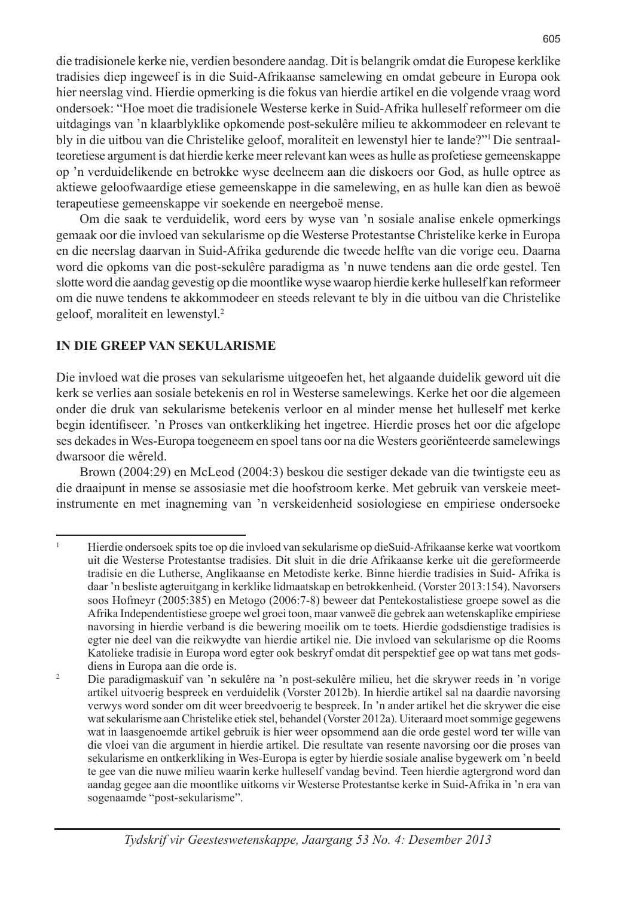die tradisionele kerke nie, verdien besondere aandag. Dit is belangrik omdat die Europese kerklike tradisies diep ingeweef is in die Suid-Afrikaanse samelewing en omdat gebeure in Europa ook hier neerslag vind. Hierdie opmerking is die fokus van hierdie artikel en die volgende vraag word ondersoek: "Hoe moet die tradisionele Westerse kerke in Suid-Afrika hulleself reformeer om die uitdagings van 'n klaarblyklike opkomende post-sekulêre milieu te akkommodeer en relevant te bly in die uitbou van die Christelike geloof, moraliteit en lewenstyl hier te lande?"1 Die sentraalteoretiese argument is dat hierdie kerke meer relevant kan wees as hulle as profetiese gemeenskappe op 'n verduidelikende en betrokke wyse deelneem aan die diskoers oor God, as hulle optree as aktiewe geloofwaardige etiese gemeenskappe in die samelewing, en as hulle kan dien as bewoë terapeutiese gemeenskappe vir soekende en neergeboë mense.

Om die saak te verduidelik, word eers by wyse van 'n sosiale analise enkele opmerkings gemaak oor die invloed van sekularisme op die Westerse Protestantse Christelike kerke in Europa en die neerslag daarvan in Suid-Afrika gedurende die tweede helfte van die vorige eeu. Daarna word die opkoms van die post-sekulêre paradigma as 'n nuwe tendens aan die orde gestel. Ten slotte word die aandag gevestig op die moontlike wyse waarop hierdie kerke hulleself kan reformeer om die nuwe tendens te akkommodeer en steeds relevant te bly in die uitbou van die Christelike geloof, moraliteit en lewenstyl.2

# **IN DIE GREEP VAN SEKULARISME**

Die invloed wat die proses van sekularisme uitgeoefen het, het algaande duidelik geword uit die kerk se verlies aan sosiale betekenis en rol in Westerse samelewings. Kerke het oor die algemeen onder die druk van sekularisme betekenis verloor en al minder mense het hulleself met kerke begin identifiseer. 'n Proses van ontkerkliking het ingetree. Hierdie proses het oor die afgelope ses dekades in Wes-Europa toegeneem en spoel tans oor na die Westers georiënteerde samelewings dwarsoor die wêreld.

Brown (2004:29) en McLeod (2004:3) beskou die sestiger dekade van die twintigste eeu as die draaipunt in mense se assosiasie met die hoofstroom kerke. Met gebruik van verskeie meetinstrumente en met inagneming van 'n verskeidenheid sosiologiese en empiriese ondersoeke

<sup>1</sup> Hierdie ondersoek spits toe op die invloed van sekularisme op dieSuid-Afrikaanse kerke wat voortkom uit die Westerse Protestantse tradisies. Dit sluit in die drie Afrikaanse kerke uit die gereformeerde tradisie en die Lutherse, Anglikaanse en Metodiste kerke. Binne hierdie tradisies in Suid- Afrika is daar 'n besliste agteruitgang in kerklike lidmaatskap en betrokkenheid. (Vorster 2013:154). Navorsers soos Hofmeyr (2005:385) en Metogo (2006:7-8) beweer dat Pentekostalistiese groepe sowel as die Afrika Independentistiese groepe wel groei toon, maar vanweë die gebrek aan wetenskaplike empiriese navorsing in hierdie verband is die bewering moeilik om te toets. Hierdie godsdienstige tradisies is egter nie deel van die reikwydte van hierdie artikel nie. Die invloed van sekularisme op die Rooms Katolieke tradisie in Europa word egter ook beskryf omdat dit perspektief gee op wat tans met godsdiens in Europa aan die orde is.

<sup>2</sup> Die paradigmaskuif van 'n sekulêre na 'n post-sekulêre milieu, het die skrywer reeds in 'n vorige artikel uitvoerig bespreek en verduidelik (Vorster 2012b). In hierdie artikel sal na daardie navorsing verwys word sonder om dit weer breedvoerig te bespreek. In 'n ander artikel het die skrywer die eise wat sekularisme aan Christelike etiek stel, behandel (Vorster 2012a). Uiteraard moet sommige gegewens wat in laasgenoemde artikel gebruik is hier weer opsommend aan die orde gestel word ter wille van die vloei van die argument in hierdie artikel. Die resultate van resente navorsing oor die proses van sekularisme en ontkerkliking in Wes-Europa is egter by hierdie sosiale analise bygewerk om 'n beeld te gee van die nuwe milieu waarin kerke hulleself vandag bevind. Teen hierdie agtergrond word dan aandag gegee aan die moontlike uitkoms vir Westerse Protestantse kerke in Suid-Afrika in 'n era van sogenaamde "post-sekularisme".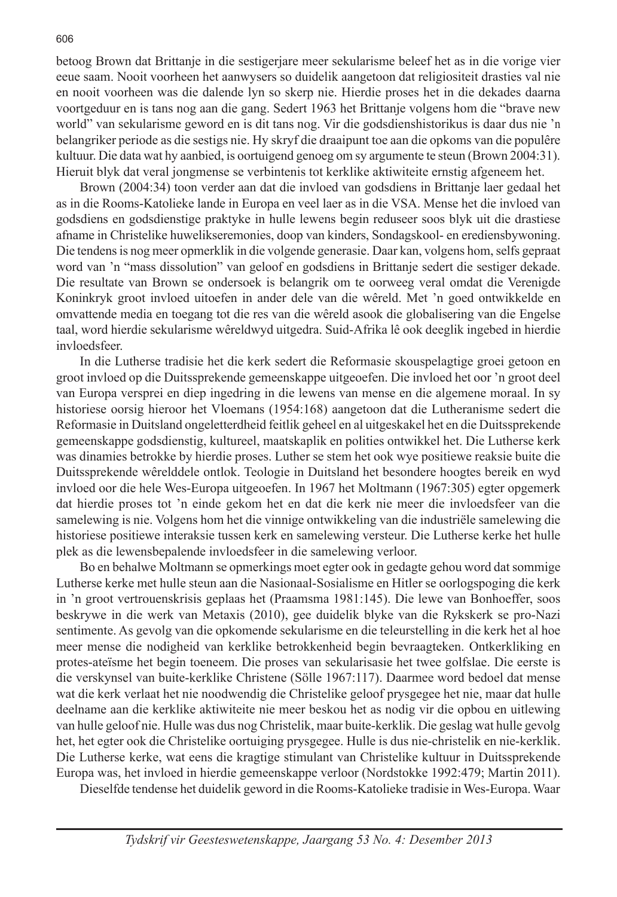betoog Brown dat Brittanje in die sestigerjare meer sekularisme beleef het as in die vorige vier eeue saam. Nooit voorheen het aanwysers so duidelik aangetoon dat religiositeit drasties val nie en nooit voorheen was die dalende lyn so skerp nie. Hierdie proses het in die dekades daarna voortgeduur en is tans nog aan die gang. Sedert 1963 het Brittanje volgens hom die "brave new world" van sekularisme geword en is dit tans nog. Vir die godsdienshistorikus is daar dus nie 'n belangriker periode as die sestigs nie. Hy skryf die draaipunt toe aan die opkoms van die populêre kultuur. Die data wat hy aanbied, is oortuigend genoeg om sy argumente te steun (Brown 2004:31). Hieruit blyk dat veral jongmense se verbintenis tot kerklike aktiwiteite ernstig afgeneem het.

Brown (2004:34) toon verder aan dat die invloed van godsdiens in Brittanje laer gedaal het as in die Rooms-Katolieke lande in Europa en veel laer as in die VSA. Mense het die invloed van godsdiens en godsdienstige praktyke in hulle lewens begin reduseer soos blyk uit die drastiese afname in Christelike huwelikseremonies, doop van kinders, Sondagskool- en erediensbywoning. Die tendens is nog meer opmerklik in die volgende generasie. Daar kan, volgens hom, selfs gepraat word van 'n "mass dissolution" van geloof en godsdiens in Brittanje sedert die sestiger dekade. Die resultate van Brown se ondersoek is belangrik om te oorweeg veral omdat die Verenigde Koninkryk groot invloed uitoefen in ander dele van die wêreld. Met 'n goed ontwikkelde en omvattende media en toegang tot die res van die wêreld asook die globalisering van die Engelse taal, word hierdie sekularisme wêreldwyd uitgedra. Suid-Afrika lê ook deeglik ingebed in hierdie invloedsfeer.

In die Lutherse tradisie het die kerk sedert die Reformasie skouspelagtige groei getoon en groot invloed op die Duitssprekende gemeenskappe uitgeoefen. Die invloed het oor 'n groot deel van Europa versprei en diep ingedring in die lewens van mense en die algemene moraal. In sy historiese oorsig hieroor het Vloemans (1954:168) aangetoon dat die Lutheranisme sedert die Reformasie in Duitsland ongeletterdheid feitlik geheel en al uitgeskakel het en die Duitssprekende gemeenskappe godsdienstig, kultureel, maatskaplik en polities ontwikkel het. Die Lutherse kerk was dinamies betrokke by hierdie proses. Luther se stem het ook wye positiewe reaksie buite die Duitssprekende wêrelddele ontlok. Teologie in Duitsland het besondere hoogtes bereik en wyd invloed oor die hele Wes-Europa uitgeoefen. In 1967 het Moltmann (1967:305) egter opgemerk dat hierdie proses tot 'n einde gekom het en dat die kerk nie meer die invloedsfeer van die samelewing is nie. Volgens hom het die vinnige ontwikkeling van die industriële samelewing die historiese positiewe interaksie tussen kerk en samelewing versteur. Die Lutherse kerke het hulle plek as die lewensbepalende invloedsfeer in die samelewing verloor.

Bo en behalwe Moltmann se opmerkings moet egter ook in gedagte gehou word dat sommige Lutherse kerke met hulle steun aan die Nasionaal-Sosialisme en Hitler se oorlogspoging die kerk in 'n groot vertrouenskrisis geplaas het (Praamsma 1981:145). Die lewe van Bonhoeffer, soos beskrywe in die werk van Metaxis (2010), gee duidelik blyke van die Rykskerk se pro-Nazi sentimente. As gevolg van die opkomende sekularisme en die teleurstelling in die kerk het al hoe meer mense die nodigheid van kerklike betrokkenheid begin bevraagteken. Ontkerkliking en protes-ateïsme het begin toeneem. Die proses van sekularisasie het twee golfslae. Die eerste is die verskynsel van buite-kerklike Christene (Sölle 1967:117). Daarmee word bedoel dat mense wat die kerk verlaat het nie noodwendig die Christelike geloof prysgegee het nie, maar dat hulle deelname aan die kerklike aktiwiteite nie meer beskou het as nodig vir die opbou en uitlewing van hulle geloof nie. Hulle was dus nog Christelik, maar buite-kerklik. Die geslag wat hulle gevolg het, het egter ook die Christelike oortuiging prysgegee. Hulle is dus nie-christelik en nie-kerklik. Die Lutherse kerke, wat eens die kragtige stimulant van Christelike kultuur in Duitssprekende Europa was, het invloed in hierdie gemeenskappe verloor (Nordstokke 1992:479; Martin 2011).

Dieselfde tendense het duidelik geword in die Rooms-Katolieke tradisie in Wes-Europa. Waar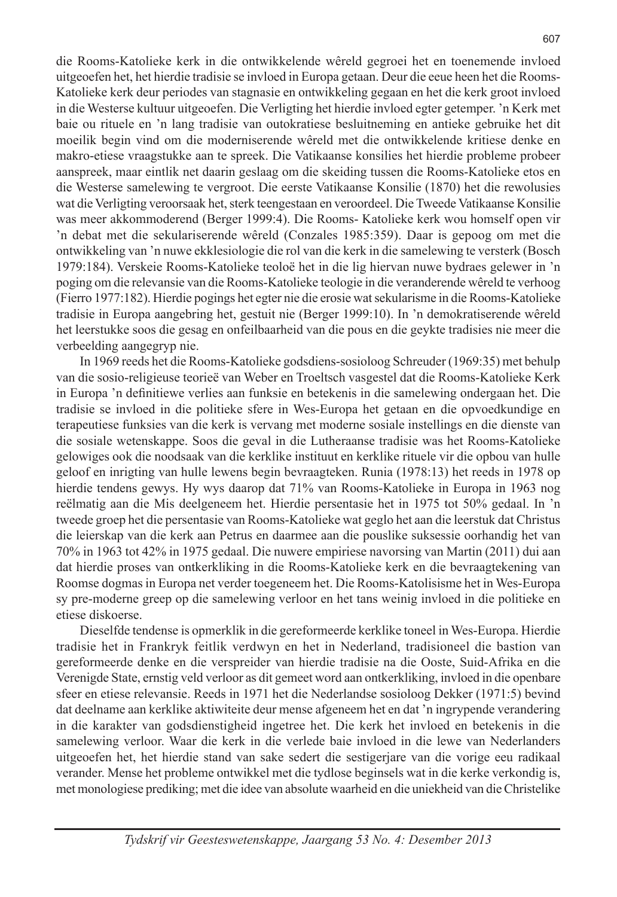die Rooms-Katolieke kerk in die ontwikkelende wêreld gegroei het en toenemende invloed uitgeoefen het, het hierdie tradisie se invloed in Europa getaan. Deur die eeue heen het die Rooms-Katolieke kerk deur periodes van stagnasie en ontwikkeling gegaan en het die kerk groot invloed in die Westerse kultuur uitgeoefen. Die Verligting het hierdie invloed egter getemper. 'n Kerk met baie ou rituele en 'n lang tradisie van outokratiese besluitneming en antieke gebruike het dit moeilik begin vind om die moderniserende wêreld met die ontwikkelende kritiese denke en makro-etiese vraagstukke aan te spreek. Die Vatikaanse konsilies het hierdie probleme probeer aanspreek, maar eintlik net daarin geslaag om die skeiding tussen die Rooms-Katolieke etos en die Westerse samelewing te vergroot. Die eerste Vatikaanse Konsilie (1870) het die rewolusies wat die Verligting veroorsaak het, sterk teengestaan en veroordeel. Die Tweede Vatikaanse Konsilie was meer akkommoderend (Berger 1999:4). Die Rooms- Katolieke kerk wou homself open vir 'n debat met die sekulariserende wêreld (Conzales 1985:359). Daar is gepoog om met die ontwikkeling van 'n nuwe ekklesiologie die rol van die kerk in die samelewing te versterk (Bosch 1979:184). Verskeie Rooms-Katolieke teoloë het in die lig hiervan nuwe bydraes gelewer in 'n poging om die relevansie van die Rooms-Katolieke teologie in die veranderende wêreld te verhoog (Fierro 1977:182). Hierdie pogings het egter nie die erosie wat sekularisme in die Rooms-Katolieke tradisie in Europa aangebring het, gestuit nie (Berger 1999:10). In 'n demokratiserende wêreld het leerstukke soos die gesag en onfeilbaarheid van die pous en die geykte tradisies nie meer die verbeelding aangegryp nie.

In 1969 reeds het die Rooms-Katolieke godsdiens-sosioloog Schreuder (1969:35) met behulp van die sosio-religieuse teorieë van Weber en Troeltsch vasgestel dat die Rooms-Katolieke Kerk in Europa 'n definitiewe verlies aan funksie en betekenis in die samelewing ondergaan het. Die tradisie se invloed in die politieke sfere in Wes-Europa het getaan en die opvoedkundige en terapeutiese funksies van die kerk is vervang met moderne sosiale instellings en die dienste van die sosiale wetenskappe. Soos die geval in die Lutheraanse tradisie was het Rooms-Katolieke gelowiges ook die noodsaak van die kerklike instituut en kerklike rituele vir die opbou van hulle geloof en inrigting van hulle lewens begin bevraagteken. Runia (1978:13) het reeds in 1978 op hierdie tendens gewys. Hy wys daarop dat 71% van Rooms-Katolieke in Europa in 1963 nog reëlmatig aan die Mis deelgeneem het. Hierdie persentasie het in 1975 tot 50% gedaal. In 'n tweede groep het die persentasie van Rooms-Katolieke wat geglo het aan die leerstuk dat Christus die leierskap van die kerk aan Petrus en daarmee aan die pouslike suksessie oorhandig het van 70% in 1963 tot 42% in 1975 gedaal. Die nuwere empiriese navorsing van Martin (2011) dui aan dat hierdie proses van ontkerkliking in die Rooms-Katolieke kerk en die bevraagtekening van Roomse dogmas in Europa net verder toegeneem het. Die Rooms-Katolisisme het in Wes-Europa sy pre-moderne greep op die samelewing verloor en het tans weinig invloed in die politieke en etiese diskoerse.

Dieselfde tendense is opmerklik in die gereformeerde kerklike toneel in Wes-Europa. Hierdie tradisie het in Frankryk feitlik verdwyn en het in Nederland, tradisioneel die bastion van gereformeerde denke en die verspreider van hierdie tradisie na die Ooste, Suid-Afrika en die Verenigde State, ernstig veld verloor as dit gemeet word aan ontkerkliking, invloed in die openbare sfeer en etiese relevansie. Reeds in 1971 het die Nederlandse sosioloog Dekker (1971:5) bevind dat deelname aan kerklike aktiwiteite deur mense afgeneem het en dat 'n ingrypende verandering in die karakter van godsdienstigheid ingetree het. Die kerk het invloed en betekenis in die samelewing verloor. Waar die kerk in die verlede baie invloed in die lewe van Nederlanders uitgeoefen het, het hierdie stand van sake sedert die sestigerjare van die vorige eeu radikaal verander. Mense het probleme ontwikkel met die tydlose beginsels wat in die kerke verkondig is, met monologiese prediking; met die idee van absolute waarheid en die uniekheid van die Christelike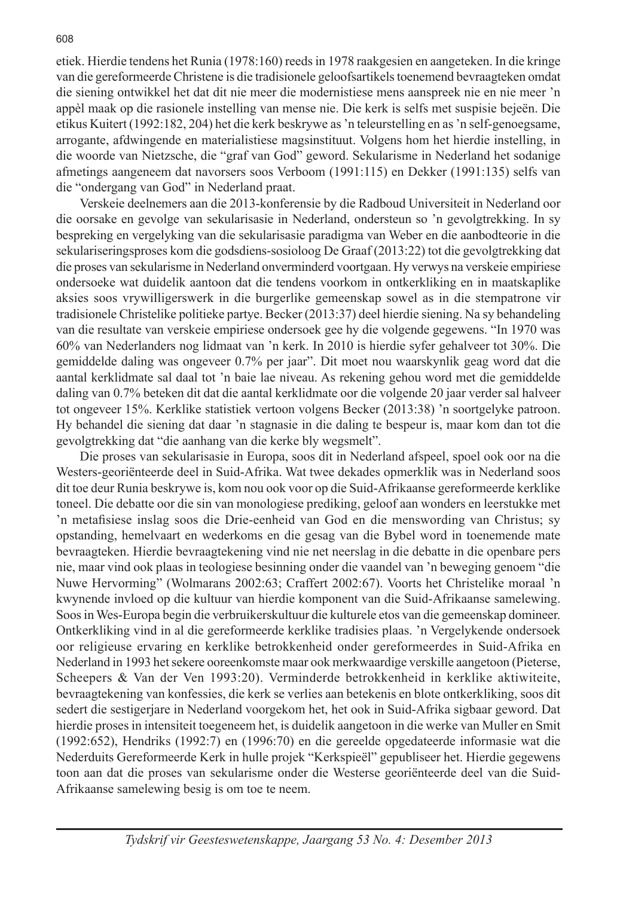etiek. Hierdie tendens het Runia (1978:160) reeds in 1978 raakgesien en aangeteken. In die kringe van die gereformeerde Christene is die tradisionele geloofsartikels toenemend bevraagteken omdat die siening ontwikkel het dat dit nie meer die modernistiese mens aanspreek nie en nie meer 'n appèl maak op die rasionele instelling van mense nie. Die kerk is selfs met suspisie bejeën. Die etikus Kuitert (1992:182, 204) het die kerk beskrywe as 'n teleurstelling en as 'n self-genoegsame, arrogante, afdwingende en materialistiese magsinstituut. Volgens hom het hierdie instelling, in die woorde van Nietzsche, die "graf van God" geword. Sekularisme in Nederland het sodanige afmetings aangeneem dat navorsers soos Verboom (1991:115) en Dekker (1991:135) selfs van die "ondergang van God" in Nederland praat.

Verskeie deelnemers aan die 2013-konferensie by die Radboud Universiteit in Nederland oor die oorsake en gevolge van sekularisasie in Nederland, ondersteun so 'n gevolgtrekking. In sy bespreking en vergelyking van die sekularisasie paradigma van Weber en die aanbodteorie in die sekulariseringsproses kom die godsdiens-sosioloog De Graaf (2013:22) tot die gevolgtrekking dat die proses van sekularisme in Nederland onverminderd voortgaan. Hy verwys na verskeie empiriese ondersoeke wat duidelik aantoon dat die tendens voorkom in ontkerkliking en in maatskaplike aksies soos vrywilligerswerk in die burgerlike gemeenskap sowel as in die stempatrone vir tradisionele Christelike politieke partye. Becker (2013:37) deel hierdie siening. Na sy behandeling van die resultate van verskeie empiriese ondersoek gee hy die volgende gegewens. "In 1970 was 60% van Nederlanders nog lidmaat van 'n kerk. In 2010 is hierdie syfer gehalveer tot 30%. Die gemiddelde daling was ongeveer 0.7% per jaar". Dit moet nou waarskynlik geag word dat die aantal kerklidmate sal daal tot 'n baie lae niveau. As rekening gehou word met die gemiddelde daling van 0.7% beteken dit dat die aantal kerklidmate oor die volgende 20 jaar verder sal halveer tot ongeveer 15%. Kerklike statistiek vertoon volgens Becker (2013:38) 'n soortgelyke patroon. Hy behandel die siening dat daar 'n stagnasie in die daling te bespeur is, maar kom dan tot die gevolgtrekking dat "die aanhang van die kerke bly wegsmelt".

Die proses van sekularisasie in Europa, soos dit in Nederland afspeel, spoel ook oor na die Westers-georiënteerde deel in Suid-Afrika. Wat twee dekades opmerklik was in Nederland soos dit toe deur Runia beskrywe is, kom nou ook voor op die Suid-Afrikaanse gereformeerde kerklike toneel. Die debatte oor die sin van monologiese prediking, geloof aan wonders en leerstukke met 'n metafisiese inslag soos die Drie-eenheid van God en die menswording van Christus; sy opstanding, hemelvaart en wederkoms en die gesag van die Bybel word in toenemende mate bevraagteken. Hierdie bevraagtekening vind nie net neerslag in die debatte in die openbare pers nie, maar vind ook plaas in teologiese besinning onder die vaandel van 'n beweging genoem "die Nuwe Hervorming" (Wolmarans 2002:63; Craffert 2002:67). Voorts het Christelike moraal 'n kwynende invloed op die kultuur van hierdie komponent van die Suid-Afrikaanse samelewing. Soos in Wes-Europa begin die verbruikerskultuur die kulturele etos van die gemeenskap domineer. Ontkerkliking vind in al die gereformeerde kerklike tradisies plaas. 'n Vergelykende ondersoek oor religieuse ervaring en kerklike betrokkenheid onder gereformeerdes in Suid-Afrika en Nederland in 1993 het sekere ooreenkomste maar ook merkwaardige verskille aangetoon (Pieterse, Scheepers & Van der Ven 1993:20). Verminderde betrokkenheid in kerklike aktiwiteite, bevraagtekening van konfessies, die kerk se verlies aan betekenis en blote ontkerkliking, soos dit sedert die sestigerjare in Nederland voorgekom het, het ook in Suid-Afrika sigbaar geword. Dat hierdie proses in intensiteit toegeneem het, is duidelik aangetoon in die werke van Muller en Smit (1992:652), Hendriks (1992:7) en (1996:70) en die gereelde opgedateerde informasie wat die Nederduits Gereformeerde Kerk in hulle projek "Kerkspieël" gepubliseer het. Hierdie gegewens toon aan dat die proses van sekularisme onder die Westerse georiënteerde deel van die Suid-Afrikaanse samelewing besig is om toe te neem.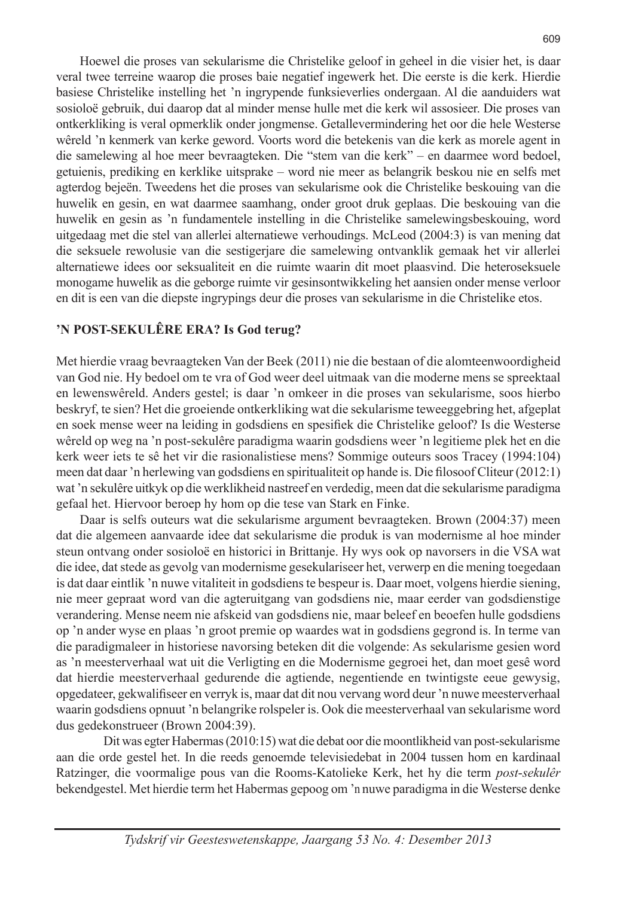Hoewel die proses van sekularisme die Christelike geloof in geheel in die visier het, is daar veral twee terreine waarop die proses baie negatief ingewerk het. Die eerste is die kerk. Hierdie basiese Christelike instelling het 'n ingrypende funksieverlies ondergaan. Al die aanduiders wat sosioloë gebruik, dui daarop dat al minder mense hulle met die kerk wil assosieer. Die proses van ontkerkliking is veral opmerklik onder jongmense. Getallevermindering het oor die hele Westerse wêreld 'n kenmerk van kerke geword. Voorts word die betekenis van die kerk as morele agent in die samelewing al hoe meer bevraagteken. Die "stem van die kerk" – en daarmee word bedoel, getuienis, prediking en kerklike uitsprake – word nie meer as belangrik beskou nie en selfs met agterdog bejeën. Tweedens het die proses van sekularisme ook die Christelike beskouing van die huwelik en gesin, en wat daarmee saamhang, onder groot druk geplaas. Die beskouing van die huwelik en gesin as 'n fundamentele instelling in die Christelike samelewingsbeskouing, word uitgedaag met die stel van allerlei alternatiewe verhoudings. McLeod (2004:3) is van mening dat die seksuele rewolusie van die sestigerjare die samelewing ontvanklik gemaak het vir allerlei alternatiewe idees oor seksualiteit en die ruimte waarin dit moet plaasvind. Die heteroseksuele monogame huwelik as die geborge ruimte vir gesinsontwikkeling het aansien onder mense verloor en dit is een van die diepste ingrypings deur die proses van sekularisme in die Christelike etos.

# **'N POST-SEKULÊRE ERA? Is God terug?**

Met hierdie vraag bevraagteken Van der Beek (2011) nie die bestaan of die alomteenwoordigheid van God nie. Hy bedoel om te vra of God weer deel uitmaak van die moderne mens se spreektaal en lewenswêreld. Anders gestel; is daar 'n omkeer in die proses van sekularisme, soos hierbo beskryf, te sien? Het die groeiende ontkerkliking wat die sekularisme teweeggebring het, afgeplat en soek mense weer na leiding in godsdiens en spesifiek die Christelike geloof? Is die Westerse wêreld op weg na 'n post-sekulêre paradigma waarin godsdiens weer 'n legitieme plek het en die kerk weer iets te sê het vir die rasionalistiese mens? Sommige outeurs soos Tracey (1994:104) meen dat daar 'n herlewing van godsdiens en spiritualiteit op hande is. Die filosoof Cliteur (2012:1) wat 'n sekulêre uitkyk op die werklikheid nastreef en verdedig, meen dat die sekularisme paradigma gefaal het. Hiervoor beroep hy hom op die tese van Stark en Finke.

Daar is selfs outeurs wat die sekularisme argument bevraagteken. Brown (2004:37) meen dat die algemeen aanvaarde idee dat sekularisme die produk is van modernisme al hoe minder steun ontvang onder sosioloë en historici in Brittanje. Hy wys ook op navorsers in die VSA wat die idee, dat stede as gevolg van modernisme gesekulariseer het, verwerp en die mening toegedaan is dat daar eintlik 'n nuwe vitaliteit in godsdiens te bespeur is. Daar moet, volgens hierdie siening, nie meer gepraat word van die agteruitgang van godsdiens nie, maar eerder van godsdienstige verandering. Mense neem nie afskeid van godsdiens nie, maar beleef en beoefen hulle godsdiens op 'n ander wyse en plaas 'n groot premie op waardes wat in godsdiens gegrond is. In terme van die paradigmaleer in historiese navorsing beteken dit die volgende: As sekularisme gesien word as 'n meesterverhaal wat uit die Verligting en die Modernisme gegroei het, dan moet gesê word dat hierdie meesterverhaal gedurende die agtiende, negentiende en twintigste eeue gewysig, opgedateer, gekwalifiseer en verryk is, maar dat dit nou vervang word deur 'n nuwe meesterverhaal waarin godsdiens opnuut 'n belangrike rolspeler is. Ook die meesterverhaal van sekularisme word dus gedekonstrueer (Brown 2004:39).

Dit was egter Habermas (2010:15) wat die debat oor die moontlikheid van post-sekularisme aan die orde gestel het. In die reeds genoemde televisiedebat in 2004 tussen hom en kardinaal Ratzinger, die voormalige pous van die Rooms-Katolieke Kerk, het hy die term *post*-*sekulêr*  bekendgestel. Met hierdie term het Habermas gepoog om 'n nuwe paradigma in die Westerse denke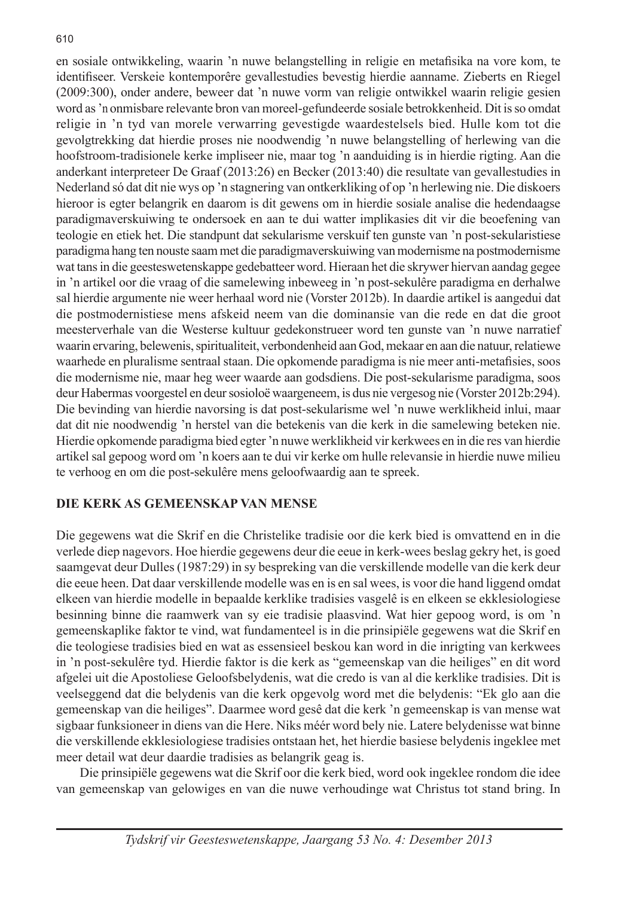en sosiale ontwikkeling, waarin 'n nuwe belangstelling in religie en metafisika na vore kom, te identifiseer. Verskeie kontemporêre gevallestudies bevestig hierdie aanname. Zieberts en Riegel (2009:300), onder andere, beweer dat 'n nuwe vorm van religie ontwikkel waarin religie gesien word as 'n onmisbare relevante bron van moreel-gefundeerde sosiale betrokkenheid. Dit is so omdat religie in 'n tyd van morele verwarring gevestigde waardestelsels bied. Hulle kom tot die gevolgtrekking dat hierdie proses nie noodwendig 'n nuwe belangstelling of herlewing van die hoofstroom-tradisionele kerke impliseer nie, maar tog 'n aanduiding is in hierdie rigting. Aan die anderkant interpreteer De Graaf (2013:26) en Becker (2013:40) die resultate van gevallestudies in Nederland só dat dit nie wys op 'n stagnering van ontkerkliking of op 'n herlewing nie. Die diskoers hieroor is egter belangrik en daarom is dit gewens om in hierdie sosiale analise die hedendaagse paradigmaverskuiwing te ondersoek en aan te dui watter implikasies dit vir die beoefening van teologie en etiek het. Die standpunt dat sekularisme verskuif ten gunste van 'n post-sekularistiese paradigma hang ten nouste saam met die paradigmaverskuiwing van modernisme na postmodernisme wat tans in die geesteswetenskappe gedebatteer word. Hieraan het die skrywer hiervan aandag gegee in 'n artikel oor die vraag of die samelewing inbeweeg in 'n post-sekulêre paradigma en derhalwe sal hierdie argumente nie weer herhaal word nie (Vorster 2012b). In daardie artikel is aangedui dat die postmodernistiese mens afskeid neem van die dominansie van die rede en dat die groot meesterverhale van die Westerse kultuur gedekonstrueer word ten gunste van 'n nuwe narratief waarin ervaring, belewenis, spiritualiteit, verbondenheid aan God, mekaar en aan die natuur, relatiewe waarhede en pluralisme sentraal staan. Die opkomende paradigma is nie meer anti-metafisies, soos die modernisme nie, maar heg weer waarde aan godsdiens. Die post-sekularisme paradigma, soos deur Habermas voorgestel en deur sosioloë waargeneem, is dus nie vergesog nie (Vorster 2012b:294). Die bevinding van hierdie navorsing is dat post-sekularisme wel 'n nuwe werklikheid inlui, maar dat dit nie noodwendig 'n herstel van die betekenis van die kerk in die samelewing beteken nie. Hierdie opkomende paradigma bied egter 'n nuwe werklikheid vir kerkwees en in die res van hierdie artikel sal gepoog word om 'n koers aan te dui vir kerke om hulle relevansie in hierdie nuwe milieu te verhoog en om die post-sekulêre mens geloofwaardig aan te spreek.

# **DIE KERK AS GEMEENSKAP VAN MENSE**

Die gegewens wat die Skrif en die Christelike tradisie oor die kerk bied is omvattend en in die verlede diep nagevors. Hoe hierdie gegewens deur die eeue in kerk-wees beslag gekry het, is goed saamgevat deur Dulles (1987:29) in sy bespreking van die verskillende modelle van die kerk deur die eeue heen. Dat daar verskillende modelle was en is en sal wees, is voor die hand liggend omdat elkeen van hierdie modelle in bepaalde kerklike tradisies vasgelê is en elkeen se ekklesiologiese besinning binne die raamwerk van sy eie tradisie plaasvind. Wat hier gepoog word, is om 'n gemeenskaplike faktor te vind, wat fundamenteel is in die prinsipiële gegewens wat die Skrif en die teologiese tradisies bied en wat as essensieel beskou kan word in die inrigting van kerkwees in 'n post-sekulêre tyd. Hierdie faktor is die kerk as "gemeenskap van die heiliges" en dit word afgelei uit die Apostoliese Geloofsbelydenis, wat die credo is van al die kerklike tradisies. Dit is veelseggend dat die belydenis van die kerk opgevolg word met die belydenis: "Ek glo aan die gemeenskap van die heiliges". Daarmee word gesê dat die kerk 'n gemeenskap is van mense wat sigbaar funksioneer in diens van die Here. Niks méér word bely nie. Latere belydenisse wat binne die verskillende ekklesiologiese tradisies ontstaan het, het hierdie basiese belydenis ingeklee met meer detail wat deur daardie tradisies as belangrik geag is.

Die prinsipiële gegewens wat die Skrif oor die kerk bied, word ook ingeklee rondom die idee van gemeenskap van gelowiges en van die nuwe verhoudinge wat Christus tot stand bring. In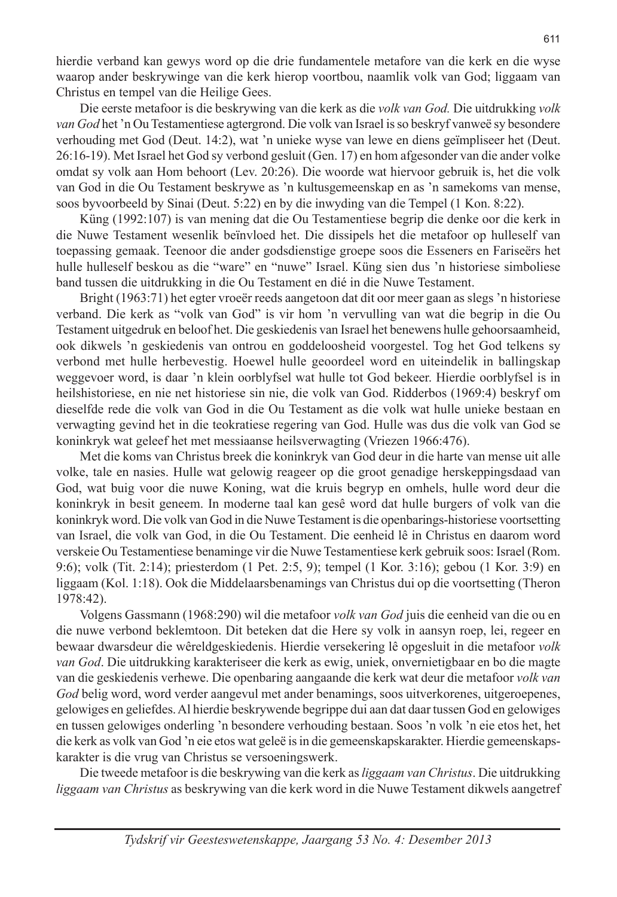hierdie verband kan gewys word op die drie fundamentele metafore van die kerk en die wyse waarop ander beskrywinge van die kerk hierop voortbou, naamlik volk van God; liggaam van Christus en tempel van die Heilige Gees.

Die eerste metafoor is die beskrywing van die kerk as die *volk van God.* Die uitdrukking *volk van God* het 'n Ou Testamentiese agtergrond. Die volk van Israel is so beskryf vanweë sy besondere verhouding met God (Deut. 14:2), wat 'n unieke wyse van lewe en diens geïmpliseer het (Deut. 26:16-19). Met Israel het God sy verbond gesluit (Gen. 17) en hom afgesonder van die ander volke omdat sy volk aan Hom behoort (Lev. 20:26). Die woorde wat hiervoor gebruik is, het die volk van God in die Ou Testament beskrywe as 'n kultusgemeenskap en as 'n samekoms van mense, soos byvoorbeeld by Sinai (Deut. 5:22) en by die inwyding van die Tempel (1 Kon. 8:22).

Küng (1992:107) is van mening dat die Ou Testamentiese begrip die denke oor die kerk in die Nuwe Testament wesenlik beïnvloed het. Die dissipels het die metafoor op hulleself van toepassing gemaak. Teenoor die ander godsdienstige groepe soos die Esseners en Fariseërs het hulle hulleself beskou as die "ware" en "nuwe" Israel. Küng sien dus 'n historiese simboliese band tussen die uitdrukking in die Ou Testament en dié in die Nuwe Testament.

Bright (1963:71) het egter vroeër reeds aangetoon dat dit oor meer gaan as slegs 'n historiese verband. Die kerk as "volk van God" is vir hom 'n vervulling van wat die begrip in die Ou Testament uitgedruk en beloof het. Die geskiedenis van Israel het benewens hulle gehoorsaamheid, ook dikwels 'n geskiedenis van ontrou en goddeloosheid voorgestel. Tog het God telkens sy verbond met hulle herbevestig. Hoewel hulle geoordeel word en uiteindelik in ballingskap weggevoer word, is daar 'n klein oorblyfsel wat hulle tot God bekeer. Hierdie oorblyfsel is in heilshistoriese, en nie net historiese sin nie, die volk van God. Ridderbos (1969:4) beskryf om dieselfde rede die volk van God in die Ou Testament as die volk wat hulle unieke bestaan en verwagting gevind het in die teokratiese regering van God. Hulle was dus die volk van God se koninkryk wat geleef het met messiaanse heilsverwagting (Vriezen 1966:476).

Met die koms van Christus breek die koninkryk van God deur in die harte van mense uit alle volke, tale en nasies. Hulle wat gelowig reageer op die groot genadige herskeppingsdaad van God, wat buig voor die nuwe Koning, wat die kruis begryp en omhels, hulle word deur die koninkryk in besit geneem. In moderne taal kan gesê word dat hulle burgers of volk van die koninkryk word. Die volk van God in die Nuwe Testament is die openbarings-historiese voortsetting van Israel, die volk van God, in die Ou Testament. Die eenheid lê in Christus en daarom word verskeie Ou Testamentiese benaminge vir die Nuwe Testamentiese kerk gebruik soos: Israel (Rom. 9:6); volk (Tit. 2:14); priesterdom (1 Pet. 2:5, 9); tempel (1 Kor. 3:16); gebou (1 Kor. 3:9) en liggaam (Kol. 1:18). Ook die Middelaarsbenamings van Christus dui op die voortsetting (Theron 1978:42).

Volgens Gassmann (1968:290) wil die metafoor *volk van God* juis die eenheid van die ou en die nuwe verbond beklemtoon. Dit beteken dat die Here sy volk in aansyn roep, lei, regeer en bewaar dwarsdeur die wêreldgeskiedenis. Hierdie versekering lê opgesluit in die metafoor *volk van God*. Die uitdrukking karakteriseer die kerk as ewig, uniek, onvernietigbaar en bo die magte van die geskiedenis verhewe. Die openbaring aangaande die kerk wat deur die metafoor *volk van God* belig word, word verder aangevul met ander benamings, soos uitverkorenes, uitgeroepenes, gelowiges en geliefdes. Al hierdie beskrywende begrippe dui aan dat daar tussen God en gelowiges en tussen gelowiges onderling 'n besondere verhouding bestaan. Soos 'n volk 'n eie etos het, het die kerk as volk van God 'n eie etos wat geleë is in die gemeenskapskarakter. Hierdie gemeenskapskarakter is die vrug van Christus se versoeningswerk.

Die tweede metafoor is die beskrywing van die kerk as *liggaam van Christus*. Die uitdrukking *liggaam van Christus* as beskrywing van die kerk word in die Nuwe Testament dikwels aangetref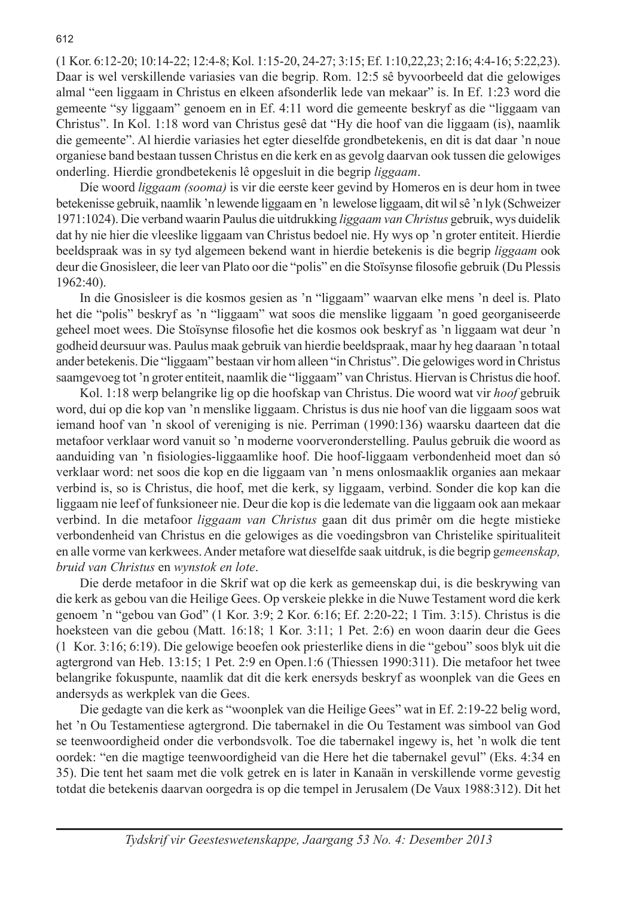(1 Kor. 6:12-20; 10:14-22; 12:4-8; Kol. 1:15-20, 24-27; 3:15; Ef. 1:10,22,23; 2:16; 4:4-16; 5:22,23). Daar is wel verskillende variasies van die begrip. Rom. 12:5 sê byvoorbeeld dat die gelowiges almal "een liggaam in Christus en elkeen afsonderlik lede van mekaar" is. In Ef. 1:23 word die gemeente "sy liggaam" genoem en in Ef. 4:11 word die gemeente beskryf as die "liggaam van Christus". In Kol. 1:18 word van Christus gesê dat "Hy die hoof van die liggaam (is), naamlik die gemeente". Al hierdie variasies het egter dieselfde grondbetekenis, en dit is dat daar 'n noue organiese band bestaan tussen Christus en die kerk en as gevolg daarvan ook tussen die gelowiges onderling. Hierdie grondbetekenis lê opgesluit in die begrip *liggaam*.

Díe woord *liggaam (sooma)* is vir die eerste keer gevind by Homeros en is deur hom in twee betekenisse gebruik, naamlik 'n lewende liggaam en 'n lewelose liggaam, dit wil sê 'n lyk (Schweizer 1971:1024). Die verband waarin Paulus die uitdrukking *liggaam van Christus* gebruik, wys duidelik dat hy nie hier die vleeslike liggaam van Christus bedoel nie. Hy wys op 'n groter entiteit. Hierdie beeldspraak was in sy tyd algemeen bekend want in hierdie betekenis is die begrip *liggaam* ook deur die Gnosisleer, die leer van Plato oor die "polis" en die Stoïsynse filosofie gebruik (Du Plessis 1962:40).

In die Gnosisleer is die kosmos gesien as 'n "liggaam" waarvan elke mens 'n deel is. Plato het die "polis" beskryf as 'n "liggaam" wat soos die menslike liggaam 'n goed georganiseerde geheel moet wees. Die Stoïsynse filosofie het die kosmos ook beskryf as 'n liggaam wat deur 'n godheid deursuur was. Paulus maak gebruik van hierdie beeldspraak, maar hy heg daaraan 'n totaal ander betekenis. Die "liggaam" bestaan vir hom alleen "in Christus". Die gelowiges word in Christus saamgevoeg tot 'n groter entiteit, naamlik die "liggaam" van Christus. Hiervan is Christus die hoof.

Kol. 1:18 werp belangrike lig op die hoofskap van Christus. Die woord wat vir *hoof* gebruik word, dui op die kop van 'n menslike liggaam. Christus is dus nie hoof van die liggaam soos wat iemand hoof van 'n skool of vereniging is nie. Perriman (1990:136) waarsku daarteen dat die metafoor verklaar word vanuit so 'n moderne voorveronderstelling. Paulus gebruik die woord as aanduiding van 'n fisiologies-liggaamlike hoof. Die hoof-liggaam verbondenheid moet dan só verklaar word: net soos die kop en die liggaam van 'n mens onlosmaaklik organies aan mekaar verbind is, so is Christus, die hoof, met die kerk, sy liggaam, verbind. Sonder die kop kan die liggaam nie leef of funksioneer nie. Deur die kop is die ledemate van die liggaam ook aan mekaar verbind. In die metafoor *liggaam van Christus* gaan dit dus primêr om die hegte mistieke verbondenheid van Christus en die gelowiges as die voedingsbron van Christelike spiritualiteit en alle vorme van kerkwees. Ander metafore wat dieselfde saak uitdruk, is die begrip g*emeenskap, bruid van Christus* en *wynstok en lote*.

Die derde metafoor in die Skrif wat op die kerk as gemeenskap dui, is die beskrywing van die kerk as gebou van die Heilige Gees. Op verskeie plekke in die Nuwe Testament word die kerk genoem 'n "gebou van God" (1 Kor. 3:9; 2 Kor. 6:16; Ef. 2:20-22; 1 Tim. 3:15). Christus is die hoeksteen van die gebou (Matt. 16:18; 1 Kor. 3:11; 1 Pet. 2:6) en woon daarin deur die Gees (1 Kor. 3:16; 6:19). Die gelowige beoefen ook priesterlike diens in die "gebou" soos blyk uit die agtergrond van Heb. 13:15; 1 Pet. 2:9 en Open.1:6 (Thiessen 1990:311). Die metafoor het twee belangrike fokuspunte, naamlik dat dit die kerk enersyds beskryf as woonplek van die Gees en andersyds as werkplek van die Gees.

Die gedagte van die kerk as "woonplek van die Heilige Gees" wat in Ef. 2:19-22 belig word, het 'n Ou Testamentiese agtergrond. Die tabernakel in die Ou Testament was simbool van God se teenwoordigheid onder die verbondsvolk. Toe die tabernakel ingewy is, het 'n wolk die tent oordek: "en die magtige teenwoordigheid van die Here het die tabernakel gevul" (Eks. 4:34 en 35). Die tent het saam met die volk getrek en is later in Kanaän in verskillende vorme gevestig totdat die betekenis daarvan oorgedra is op die tempel in Jerusalem (De Vaux 1988:312). Dit het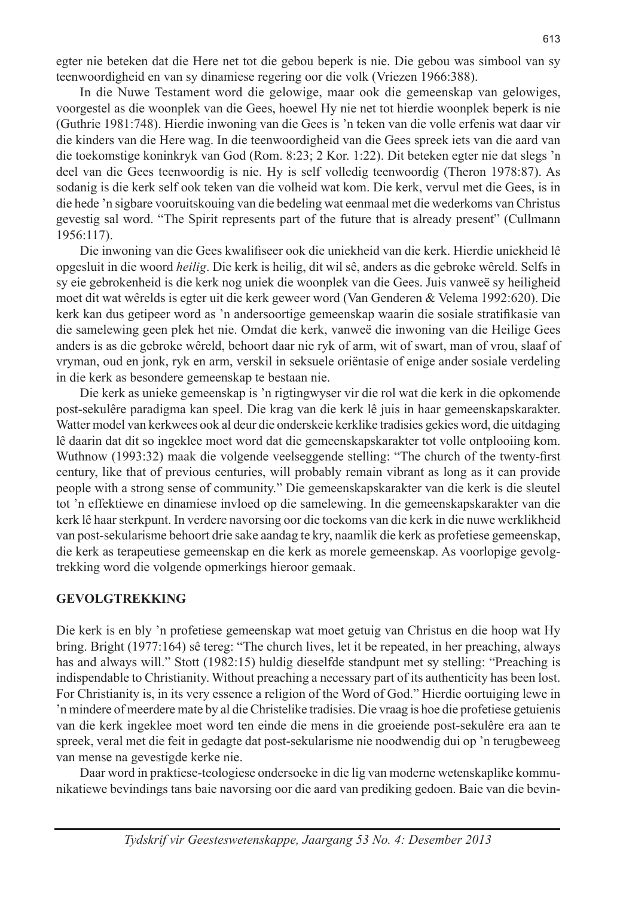egter nie beteken dat die Here net tot die gebou beperk is nie. Die gebou was simbool van sy teenwoordigheid en van sy dinamiese regering oor die volk (Vriezen 1966:388).

In die Nuwe Testament word die gelowige, maar ook die gemeenskap van gelowiges, voorgestel as die woonplek van die Gees, hoewel Hy nie net tot hierdie woonplek beperk is nie (Guthrie 1981:748). Hierdie inwoning van die Gees is 'n teken van die volle erfenis wat daar vir die kinders van die Here wag. In die teenwoordigheid van die Gees spreek iets van die aard van die toekomstige koninkryk van God (Rom. 8:23; 2 Kor. 1:22). Dit beteken egter nie dat slegs 'n deel van die Gees teenwoordig is nie. Hy is self volledig teenwoordig (Theron 1978:87). As sodanig is die kerk self ook teken van die volheid wat kom. Die kerk, vervul met die Gees, is in die hede 'n sigbare vooruitskouing van die bedeling wat eenmaal met die wederkoms van Christus gevestig sal word. "The Spirit represents part of the future that is already present" (Cullmann 1956:117).

Die inwoning van die Gees kwalifiseer ook die uniekheid van die kerk. Hierdie uniekheid lê opgesluit in die woord *heilig*. Die kerk is heilig, dit wil sê, anders as die gebroke wêreld. Selfs in sy eie gebrokenheid is die kerk nog uniek die woonplek van die Gees. Juis vanweë sy heiligheid moet dit wat wêrelds is egter uit die kerk geweer word (Van Genderen & Velema 1992:620). Die kerk kan dus getipeer word as 'n andersoortige gemeenskap waarin die sosiale stratifikasie van die samelewing geen plek het nie. Omdat die kerk, vanweë die inwoning van die Heilige Gees anders is as die gebroke wêreld, behoort daar nie ryk of arm, wit of swart, man of vrou, slaaf of vryman, oud en jonk, ryk en arm, verskil in seksuele oriëntasie of enige ander sosiale verdeling in die kerk as besondere gemeenskap te bestaan nie.

Die kerk as unieke gemeenskap is 'n rigtingwyser vir die rol wat die kerk in die opkomende post-sekulêre paradigma kan speel. Die krag van die kerk lê juis in haar gemeenskapskarakter. Watter model van kerkwees ook al deur die onderskeie kerklike tradisies gekies word, die uitdaging lê daarin dat dit so ingeklee moet word dat die gemeenskapskarakter tot volle ontplooiing kom. Wuthnow (1993:32) maak die volgende veelseggende stelling: "The church of the twenty-first century, like that of previous centuries, will probably remain vibrant as long as it can provide people with a strong sense of community." Die gemeenskapskarakter van die kerk is die sleutel tot 'n effektiewe en dinamiese invloed op die samelewing. In die gemeenskapskarakter van die kerk lê haar sterkpunt. In verdere navorsing oor die toekoms van die kerk in die nuwe werklikheid van post-sekularisme behoort drie sake aandag te kry, naamlik die kerk as profetiese gemeenskap, die kerk as terapeutiese gemeenskap en die kerk as morele gemeenskap. As voorlopige gevolgtrekking word die volgende opmerkings hieroor gemaak.

#### **GEVOLGTREKKING**

Die kerk is en bly 'n profetiese gemeenskap wat moet getuig van Christus en die hoop wat Hy bring. Bright (1977:164) sê tereg: "The church lives, let it be repeated, in her preaching, always has and always will." Stott (1982:15) huldig dieselfde standpunt met sy stelling: "Preaching is indispendable to Christianity. Without preaching a necessary part of its authenticity has been lost. For Christianity is, in its very essence a religion of the Word of God." Hierdie oortuiging lewe in 'n mindere of meerdere mate by al die Christelike tradisies. Die vraag is hoe die profetiese getuienis van die kerk ingeklee moet word ten einde die mens in die groeiende post-sekulêre era aan te spreek, veral met die feit in gedagte dat post-sekularisme nie noodwendig dui op 'n terugbeweeg van mense na gevestigde kerke nie.

Daar word in praktiese-teologiese ondersoeke in die lig van moderne wetenskaplike kommunikatiewe bevindings tans baie navorsing oor die aard van prediking gedoen. Baie van die bevin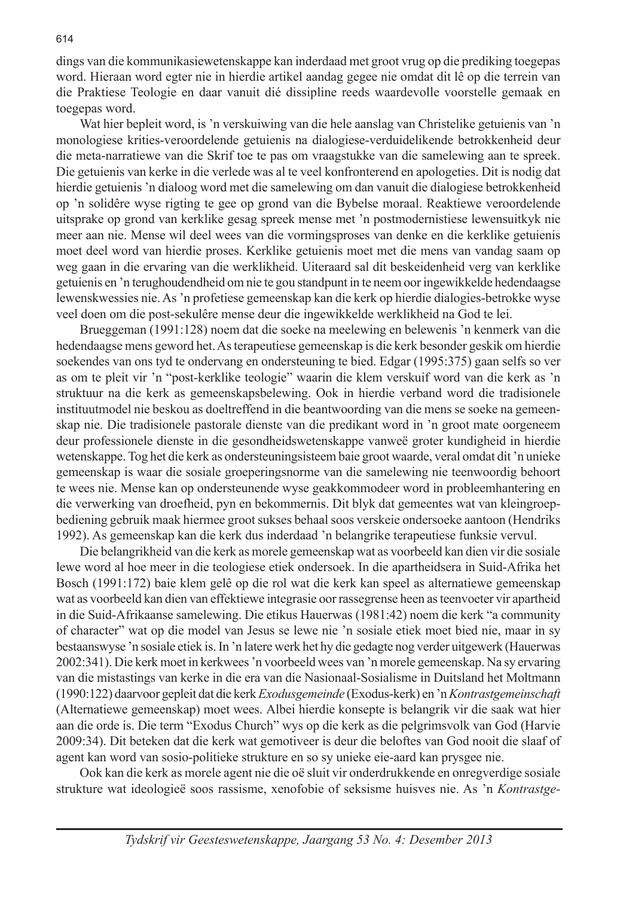dings van die kommunikasiewetenskappe kan inderdaad met groot vrug op die prediking toegepas word. Hieraan word egter nie in hierdie artikel aandag gegee nie omdat dit lê op die terrein van die Praktiese Teologie en daar vanuit dié dissipline reeds waardevolle voorstelle gemaak en toegepas word.

Wat hier bepleit word, is 'n verskuiwing van die hele aanslag van Christelike getuienis van 'n monologiese krities-veroordelende getuienis na dialogiese-verduidelikende betrokkenheid deur die meta-narratiewe van die Skrif toe te pas om vraagstukke van die samelewing aan te spreek. Die getuienis van kerke in die verlede was al te veel konfronterend en apologeties. Dit is nodig dat hierdie getuienis 'n dialoog word met die samelewing om dan vanuit die dialogiese betrokkenheid op 'n solidêre wyse rigting te gee op grond van die Bybelse moraal. Reaktiewe veroordelende uitsprake op grond van kerklike gesag spreek mense met 'n postmodernistiese lewensuitkyk nie meer aan nie. Mense wil deel wees van die vormingsproses van denke en die kerklike getuienis moet deel word van hierdie proses. Kerklike getuienis moet met die mens van vandag saam op weg gaan in die ervaring van die werklikheid. Uiteraard sal dit beskeidenheid verg van kerklike getuienis en 'n terughoudendheid om nie te gou standpunt in te neem oor ingewikkelde hedendaagse lewenskwessies nie. As 'n profetiese gemeenskap kan die kerk op hierdie dialogies-betrokke wyse veel doen om die post-sekulêre mense deur die ingewikkelde werklikheid na God te lei.

Brueggeman (1991:128) noem dat die soeke na meelewing en belewenis 'n kenmerk van die hedendaagse mens geword het. As terapeutiese gemeenskap is die kerk besonder geskik om hierdie soekendes van ons tyd te ondervang en ondersteuning te bied. Edgar (1995:375) gaan selfs so ver as om te pleit vir 'n "post-kerklike teologie" waarin die klem verskuif word van die kerk as 'n struktuur na die kerk as gemeenskapsbelewing. Ook in hierdie verband word die tradisionele instituutmodel nie beskou as doeltreffend in die beantwoording van die mens se soeke na gemeenskap nie. Die tradisionele pastorale dienste van die predikant word in 'n groot mate oorgeneem deur professionele dienste in die gesondheidswetenskappe vanweë groter kundigheid in hierdie wetenskappe. Tog het die kerk as ondersteuningsisteem baie groot waarde, veral omdat dit 'n unieke gemeenskap is waar die sosiale groeperingsnorme van die samelewing nie teenwoordig behoort te wees nie. Mense kan op ondersteunende wyse geakkommodeer word in probleemhantering en die verwerking van droefheid, pyn en bekommernis. Dit blyk dat gemeentes wat van kleingroepbediening gebruik maak hiermee groot sukses behaal soos verskeie ondersoeke aantoon (Hendriks 1992). As gemeenskap kan die kerk dus inderdaad 'n belangrike terapeutiese funksie vervul.

Die belangrikheid van die kerk as morele gemeenskap wat as voorbeeld kan dien vir die sosiale lewe word al hoe meer in die teologiese etiek ondersoek. In die apartheidsera in Suid-Afrika het Bosch (1991:172) baie klem gelê op die rol wat die kerk kan speel as alternatiewe gemeenskap wat as voorbeeld kan dien van effektiewe integrasie oor rassegrense heen as teenvoeter vir apartheid in die Suid-Afrikaanse samelewing. Die etikus Hauerwas (1981:42) noem die kerk "a community of character" wat op die model van Jesus se lewe nie 'n sosiale etiek moet bied nie, maar in sy bestaanswyse 'n sosiale etiek is. In 'n latere werk het hy die gedagte nog verder uitgewerk (Hauerwas 2002:341). Die kerk moet in kerkwees 'n voorbeeld wees van 'n morele gemeenskap. Na sy ervaring van die mistastings van kerke in die era van die Nasionaal-Sosialisme in Duitsland het Moltmann (1990:122) daarvoor gepleit dat die kerk *Exodusgemeinde* (Exodus-kerk) en 'n *Kontrastgemeinschaft*  (Alternatiewe gemeenskap) moet wees. Albei hierdie konsepte is belangrik vir die saak wat hier aan die orde is. Die term "Exodus Church" wys op die kerk as die pelgrimsvolk van God (Harvie 2009:34). Dit beteken dat die kerk wat gemotiveer is deur die beloftes van God nooit die slaaf of agent kan word van sosio-politieke strukture en so sy unieke eie-aard kan prysgee nie.

Ook kan die kerk as morele agent nie die oë sluit vir onderdrukkende en onregverdige sosiale strukture wat ideologieë soos rassisme, xenofobie of seksisme huisves nie. As 'n *Kontrastge-*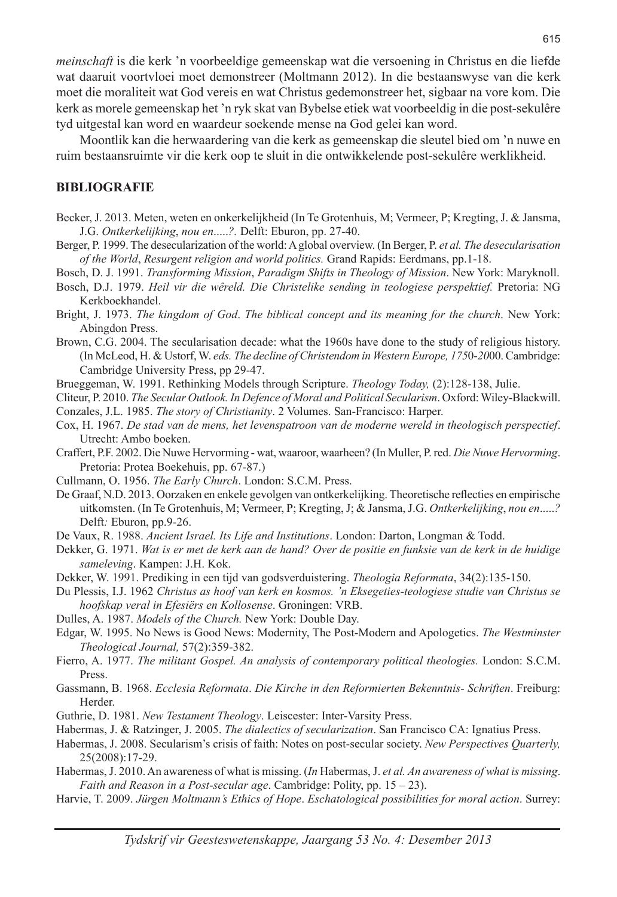*meinschaft* is die kerk 'n voorbeeldige gemeenskap wat die versoening in Christus en die liefde wat daaruit voortvloei moet demonstreer (Moltmann 2012). In die bestaanswyse van die kerk moet die moraliteit wat God vereis en wat Christus gedemonstreer het, sigbaar na vore kom. Die kerk as morele gemeenskap het 'n ryk skat van Bybelse etiek wat voorbeeldig in die post-sekulêre tyd uitgestal kan word en waardeur soekende mense na God gelei kan word.

Moontlik kan die herwaardering van die kerk as gemeenskap die sleutel bied om 'n nuwe en ruim bestaansruimte vir die kerk oop te sluit in die ontwikkelende post-sekulêre werklikheid.

#### **BIBLIOGRAFIE**

- Becker, J. 2013. Meten, weten en onkerkelijkheid (In Te Grotenhuis, M; Vermeer, P; Kregting, J. & Jansma, J.G. *Ontkerkelijking*, *nou en*.....*?.* Delft: Eburon, pp. 27-40.
- Berger, P. 1999. The desecularization of the world: A global overview. (In Berger, P. *et al. The desecularisation of the World*, *Resurgent religion and world politics.* Grand Rapids: Eerdmans, pp.1-18.
- Bosch, D. J. 1991. *Transforming Mission*, *Paradigm Shifts in Theology of Mission*. New York: Maryknoll.
- Bosch, D.J. 1979. *Heil vir die wêreld. Die Christelike sending in teologiese perspektief.* Pretoria: NG Kerkboekhandel.
- Bright, J. 1973. *The kingdom of God*. *The biblical concept and its meaning for the church*. New York: Abingdon Press.
- Brown, C.G. 2004. The secularisation decade: what the 1960s have done to the study of religious history. (In McLeod, H. & Ustorf, W. *eds. The decline of Christendom in Western Europe, 175*0-*20*00.Cambridge: Cambridge University Press, pp 29-47.
- Brueggeman, W. 1991. Rethinking Models through Scripture. *Theology Today,* (2):128-138, Julie.
- Cliteur, P. 2010. *The Secular Outlook. In Defence of Moral and Political Secularism*. Oxford: Wiley-Blackwill. Conzales, J.L. 1985. *The story of Christianity*. 2 Volumes. San-Francisco: Harper.
- Cox, H. 1967. *De stad van de mens, het levenspatroon van de moderne wereld in theologisch perspectief*. Utrecht: Ambo boeken.
- Craffert, P.F. 2002. Die Nuwe Hervorming wat, waaroor, waarheen? (In Muller, P. red. *Die Nuwe Hervorming*. Pretoria: Protea Boekehuis, pp. 67-87.)
- Cullmann, O. 1956. *The Early Church*. London: S.C.M. Press.
- De Graaf, N.D. 2013. Oorzaken en enkele gevolgen van ontkerkelijking. Theoretische reflecties en empirische uitkomsten. (In Te Grotenhuis, M; Vermeer, P; Kregting, J; & Jansma, J.G. *Ontkerkelijking*, *nou en*.....*?*  Delft*:* Eburon, pp.9-26.
- De Vaux, R. 1988. *Ancient Israel. Its Life and Institutions*. London: Darton, Longman & Todd.
- Dekker, G. 1971. *Wat is er met de kerk aan de hand? Over de positie en funksie van de kerk in de huidige sameleving*. Kampen: J.H. Kok.
- Dekker, W. 1991. Prediking in een tijd van godsverduistering. *Theologia Reformata*, 34(2):135-150.
- Du Plessis, I.J. 1962 *Christus as hoof van kerk en kosmos. 'n Eksegeties*-*teologiese studie van Christus se hoofskap veral in Efesiërs en Kollosense*. Groningen: VRB.
- Dulles, A. 1987. *Models of the Church.* New York: Double Day.
- Edgar, W. 1995. No News is Good News: Modernity, The Post-Modern and Apologetics. *The Westminster Theological Journal,* 57(2):359-382.
- Fierro, A. 1977. *The militant Gospel. An analysis of contemporary political theologies.* London: S.C.M. Press.
- Gassmann, B. 1968. *Ecclesia Reformata*. *Die Kirche in den Reformierten Bekenntnis- Schriften*. Freiburg: Herder.
- Guthrie, D. 1981. *New Testament Theology*. Leiscester: Inter-Varsity Press.
- Habermas, J. & Ratzinger, J. 2005. *The dialectics of secularization*. San Francisco CA: Ignatius Press.
- Habermas, J. 2008. Secularism's crisis of faith: Notes on post-secular society. *New Perspectives Quarterly,*  25(2008):17-29.
- Habermas, J. 2010. An awareness of what is missing. (*In* Habermas, J. *et al. An awareness of what is missing*. *Faith and Reason in a Post*-*secular age*. Cambridge: Polity, pp. 15 – 23).
- Harvie, T. 2009. *Jürgen Moltmann's Ethics of Hope*. *Eschatological possibilities for moral action*. Surrey: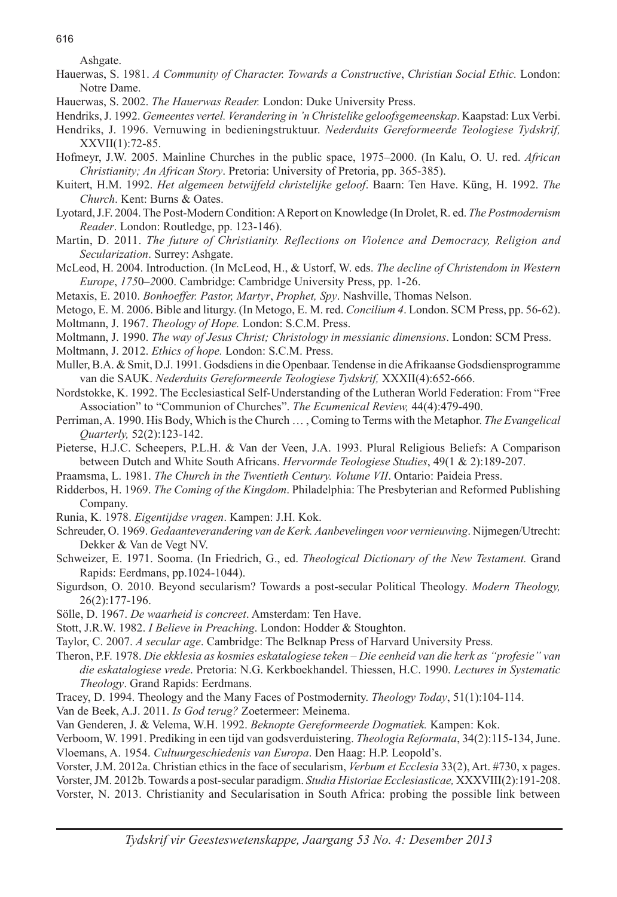616

Ashgate.

- Hauerwas, S. 1981. *A Community of Character. Towards a Constructive*, *Christian Social Ethic.* London: Notre Dame.
- Hauerwas, S. 2002. *The Hauerwas Reader.* London: Duke University Press.
- Hendriks, J. 1992. *Gemeentes vertel. Verandering in 'n Christelike geloofsgemeenskap*. Kaapstad: Lux Verbi.
- Hendriks, J. 1996. Vernuwing in bedieningstruktuur. *Nederduits Gereformeerde Teologiese Tydskrif,*  XXVII(1):72-85.
- Hofmeyr, J.W. 2005. Mainline Churches in the public space, 1975–2000. (In Kalu, O. U. red. *African Christianity; An African Story*. Pretoria: University of Pretoria, pp. 365-385).
- Kuitert, H.M. 1992. *Het algemeen betwijfeld christelijke geloof*. Baarn: Ten Have. Küng, H. 1992. *The Church*. Kent: Burns & Oates.
- Lyotard, J.F. 2004. The Post-Modern Condition: A Report on Knowledge (In Drolet, R. ed. *The Postmodernism Reader*. London: Routledge, pp. 123-146).
- Martin, D. 2011. *The future of Christianity. Reflections on Violence and Democracy, Religion and Secularization*. Surrey: Ashgate.
- McLeod, H. 2004. Introduction. (In McLeod, H., & Ustorf, W. eds. *The decline of Christendom in Western Europe*, *175*0*–2*000. Cambridge: Cambridge University Press, pp. 1-26.
- Metaxis, E. 2010. *Bonhoeffer. Pastor, Martyr*, *Prophet, Spy*. Nashville, Thomas Nelson.
- Metogo, E. M. 2006. Bible and liturgy. (In Metogo, E. M. red. *Concilium 4*. London. SCM Press, pp. 56-62).
- Moltmann, J. 1967. *Theology of Hope.* London: S.C.M. Press.
- Moltmann, J. 1990. *The way of Jesus Christ; Christology in messianic dimensions*. London: SCM Press.

Moltmann, J. 2012. *Ethics of hope.* London: S.C.M. Press.

- Muller, B.A. & Smit, D.J. 1991. Godsdiens in die Openbaar. Tendense in die Afrikaanse Godsdiensprogramme van die SAUK. *Nederduits Gereformeerde Teologiese Tydskrif,* XXXII(4):652-666.
- Nordstokke, K. 1992. The Ecclesiastical Self-Understanding of the Lutheran World Federation: From "Free Association" to "Communion of Churches". *The Ecumenical Review,* 44(4):479-490.

Perriman, A. 1990. His Body, Which is the Church … , Coming to Terms with the Metaphor. *The Evangelical Quarterly,* 52(2):123-142.

- Pieterse, H.J.C. Scheepers, P.L.H. & Van der Veen, J.A. 1993. Plural Religious Beliefs: A Comparison between Dutch and White South Africans. *Hervormde Teologiese Studies*, 49(1 & 2):189-207.
- Praamsma, L. 1981. *The Church in the Twentieth Century. Volume VII*. Ontario: Paideia Press.
- Ridderbos, H. 1969. *The Coming of the Kingdom*. Philadelphia: The Presbyterian and Reformed Publishing Company.
- Runia, K. 1978. *Eigentijdse vragen*. Kampen: J.H. Kok.
- Schreuder, O. 1969. *Gedaanteverandering van de Kerk. Aanbevelingen voor vernieuwing*. Nijmegen/Utrecht: Dekker & Van de Vegt NV.
- Schweizer, E. 1971. Sooma. (In Friedrich, G., ed. *Theological Dictionary of the New Testament.* Grand Rapids: Eerdmans, pp.1024-1044).
- Sigurdson, O. 2010. Beyond secularism? Towards a post-secular Political Theology. *Modern Theology,*  26(2):177-196.
- Sölle, D. 1967. *De waarheid is concreet*. Amsterdam: Ten Have.
- Stott, J.R.W. 1982. *I Believe in Preaching*. London: Hodder & Stoughton.
- Taylor, C. 2007. *A secular age*. Cambridge: The Belknap Press of Harvard University Press.
- Theron, P.F. 1978. *Die ekklesia as kosmies eskatalogiese teken Die eenheid van die kerk as "profesie" van die eskatalogiese vrede*. Pretoria: N.G. Kerkboekhandel. Thiessen, H.C. 1990. *Lectures in Systematic Theology*. Grand Rapids: Eerdmans.
- Tracey, D. 1994. Theology and the Many Faces of Postmodernity. *Theology Today*, 51(1):104-114.

Van de Beek, A.J. 2011. *Is God terug?* Zoetermeer: Meinema.

- Van Genderen, J. & Velema, W.H. 1992. *Beknopte Gereformeerde Dogmatiek.* Kampen: Kok.
- Verboom, W. 1991. Prediking in een tijd van godsverduistering. *Theologia Reformata*, 34(2):115-134, June. Vloemans, A. 1954. *Cultuurgeschiedenis van Europa*. Den Haag: H.P. Leopold's.

Vorster, J.M. 2012a. Christian ethics in the face of secularism, *Verbum et Ecclesia* 33(2), Art. #730, x pages. Vorster, JM. 2012b. Towards a post-secular paradigm. *Studia Historiae Ecclesiasticae,* XXXVIII(2):191-208. Vorster, N. 2013. Christianity and Secularisation in South Africa: probing the possible link between